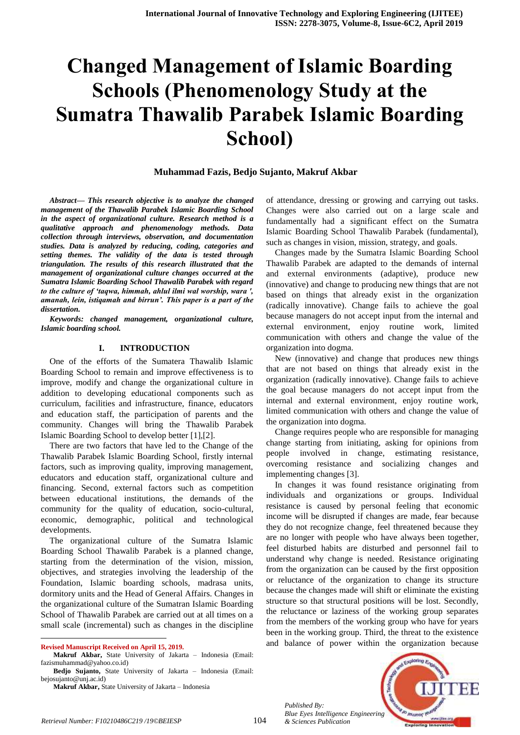# **Changed Management of Islamic Boarding Schools (Phenomenology Study at the Sumatra Thawalib Parabek Islamic Boarding School)**

#### **Muhammad Fazis, Bedjo Sujanto, Makruf Akbar**

*Abstract— This research objective is to analyze the changed management of the Thawalib Parabek Islamic Boarding School in the aspect of organizational culture. Research method is a qualitative approach and phenomenology methods. Data collection through interviews, observation, and documentation studies. Data is analyzed by reducing, coding, categories and setting themes. The validity of the data is tested through triangulation. The results of this research illustrated that the management of organizational culture changes occurred at the Sumatra Islamic Boarding School Thawalib Parabek with regard to the culture of 'taqwa, himmah, ahlul ilmi wal worship, wara ', amanah, lein, istiqamah and birrun'. This paper is a part of the dissertation.*

*Keywords: changed management, organizational culture, Islamic boarding school.*

#### **I. INTRODUCTION**

One of the efforts of the Sumatera Thawalib Islamic Boarding School to remain and improve effectiveness is to improve, modify and change the organizational culture in addition to developing educational components such as curriculum, facilities and infrastructure, finance, educators and education staff, the participation of parents and the community. Changes will bring the Thawalib Parabek Islamic Boarding School to develop better [1],[2].

There are two factors that have led to the Change of the Thawalib Parabek Islamic Boarding School, firstly internal factors, such as improving quality, improving management, educators and education staff, organizational culture and financing. Second, external factors such as competition between educational institutions, the demands of the community for the quality of education, socio-cultural, economic, demographic, political and technological developments.

The organizational culture of the Sumatra Islamic Boarding School Thawalib Parabek is a planned change, starting from the determination of the vision, mission, objectives, and strategies involving the leadership of the Foundation, Islamic boarding schools, madrasa units, dormitory units and the Head of General Affairs. Changes in the organizational culture of the Sumatran Islamic Boarding School of Thawalib Parabek are carried out at all times on a small scale (incremental) such as changes in the discipline

**Revised Manuscript Received on April 15, 2019.**

 $\overline{a}$ 

of attendance, dressing or growing and carrying out tasks. Changes were also carried out on a large scale and fundamentally had a significant effect on the Sumatra Islamic Boarding School Thawalib Parabek (fundamental), such as changes in vision, mission, strategy, and goals.

Changes made by the Sumatra Islamic Boarding School Thawalib Parabek are adapted to the demands of internal and external environments (adaptive), produce new (innovative) and change to producing new things that are not based on things that already exist in the organization (radically innovative). Change fails to achieve the goal because managers do not accept input from the internal and external environment, enjoy routine work, limited communication with others and change the value of the organization into dogma.

New (innovative) and change that produces new things that are not based on things that already exist in the organization (radically innovative). Change fails to achieve the goal because managers do not accept input from the internal and external environment, enjoy routine work, limited communication with others and change the value of the organization into dogma.

Change requires people who are responsible for managing change starting from initiating, asking for opinions from people involved in change, estimating resistance, overcoming resistance and socializing changes and implementing changes [3].

In changes it was found resistance originating from individuals and organizations or groups. Individual resistance is caused by personal feeling that economic income will be disrupted if changes are made, fear because they do not recognize change, feel threatened because they are no longer with people who have always been together, feel disturbed habits are disturbed and personnel fail to understand why change is needed. Resistance originating from the organization can be caused by the first opposition or reluctance of the organization to change its structure because the changes made will shift or eliminate the existing structure so that structural positions will be lost. Secondly, the reluctance or laziness of the working group separates from the members of the working group who have for years been in the working group. Third, the threat to the existence and balance of power within the organization because

*Published By: Blue Eyes Intelligence Engineering* 



**Makruf Akbar,** State University of Jakarta – Indonesia (Email: fazismuhammad@yahoo.co.id)

**Bedjo Sujanto,** State University of Jakarta – Indonesia (Email: bejosujanto@unj.ac.id)

**Makruf Akbar,** State University of Jakarta – Indonesia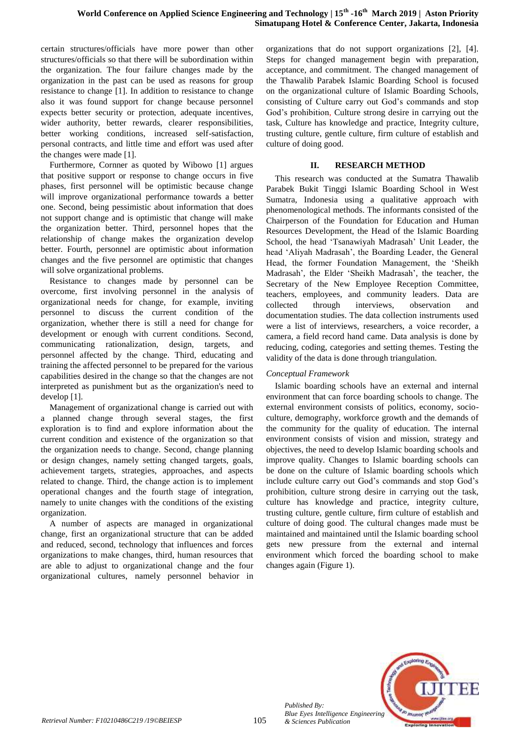certain structures/officials have more power than other structures/officials so that there will be subordination within the organization. The four failure changes made by the organization in the past can be used as reasons for group resistance to change [1]. In addition to resistance to change also it was found support for change because personnel expects better security or protection, adequate incentives, wider authority, better rewards, clearer responsibilities, better working conditions, increased self-satisfaction, personal contracts, and little time and effort was used after the changes were made [1].

Furthermore, Cornner as quoted by Wibowo [1] argues that positive support or response to change occurs in five phases, first personnel will be optimistic because change will improve organizational performance towards a better one. Second, being pessimistic about information that does not support change and is optimistic that change will make the organization better. Third, personnel hopes that the relationship of change makes the organization develop better. Fourth, personnel are optimistic about information changes and the five personnel are optimistic that changes will solve organizational problems.

Resistance to changes made by personnel can be overcome, first involving personnel in the analysis of organizational needs for change, for example, inviting personnel to discuss the current condition of the organization, whether there is still a need for change for development or enough with current conditions. Second, communicating rationalization, design, targets, and personnel affected by the change. Third, educating and training the affected personnel to be prepared for the various capabilities desired in the change so that the changes are not interpreted as punishment but as the organization's need to develop [1].

Management of organizational change is carried out with a planned change through several stages, the first exploration is to find and explore information about the current condition and existence of the organization so that the organization needs to change. Second, change planning or design changes, namely setting changed targets, goals, achievement targets, strategies, approaches, and aspects related to change. Third, the change action is to implement operational changes and the fourth stage of integration, namely to unite changes with the conditions of the existing organization.

A number of aspects are managed in organizational change, first an organizational structure that can be added and reduced, second, technology that influences and forces organizations to make changes, third, human resources that are able to adjust to organizational change and the four organizational cultures, namely personnel behavior in organizations that do not support organizations [2], [4]. Steps for changed management begin with preparation, acceptance, and commitment. The changed management of the Thawalib Parabek Islamic Boarding School is focused on the organizational culture of Islamic Boarding Schools, consisting of Culture carry out God"s commands and stop God"s prohibition, Culture strong desire in carrying out the task, Culture has knowledge and practice, Integrity culture, trusting culture, gentle culture, firm culture of establish and culture of doing good.

#### **II. RESEARCH METHOD**

This research was conducted at the Sumatra Thawalib Parabek Bukit Tinggi Islamic Boarding School in West Sumatra, Indonesia using a qualitative approach with phenomenological methods. The informants consisted of the Chairperson of the Foundation for Education and Human Resources Development, the Head of the Islamic Boarding School, the head 'Tsanawiyah Madrasah' Unit Leader, the head "Aliyah Madrasah", the Boarding Leader, the General Head, the former Foundation Management, the "Sheikh Madrasah", the Elder "Sheikh Madrasah", the teacher, the Secretary of the New Employee Reception Committee, teachers, employees, and community leaders. Data are collected through interviews, observation and documentation studies. The data collection instruments used were a list of interviews, researchers, a voice recorder, a camera, a field record hand came. Data analysis is done by reducing, coding, categories and setting themes. Testing the validity of the data is done through triangulation.

#### *Conceptual Framework*

Islamic boarding schools have an external and internal environment that can force boarding schools to change. The external environment consists of politics, economy, socioculture, demography, workforce growth and the demands of the community for the quality of education. The internal environment consists of vision and mission, strategy and objectives, the need to develop Islamic boarding schools and improve quality. Changes to Islamic boarding schools can be done on the culture of Islamic boarding schools which include culture carry out God"s commands and stop God"s prohibition, culture strong desire in carrying out the task, culture has knowledge and practice, integrity culture, trusting culture, gentle culture, firm culture of establish and culture of doing good. The cultural changes made must be maintained and maintained until the Islamic boarding school gets new pressure from the external and internal environment which forced the boarding school to make changes again (Figure 1).

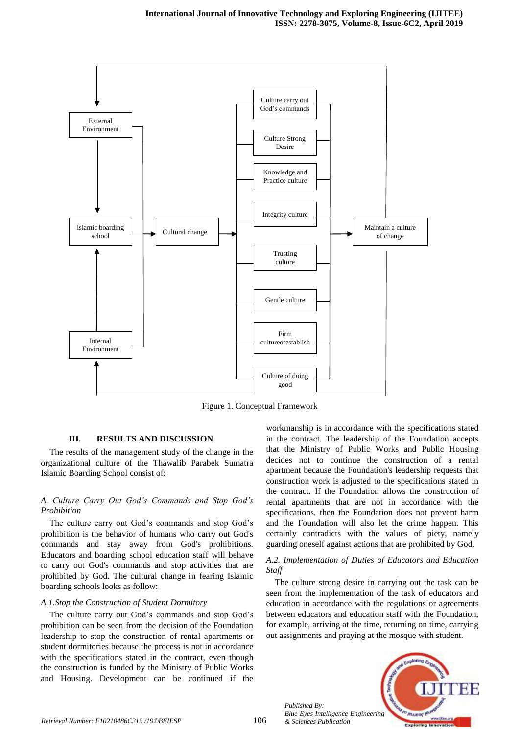

Figure 1. Conceptual Framework

106

#### **III. RESULTS AND DISCUSSION**

The results of the management study of the change in the organizational culture of the Thawalib Parabek Sumatra Islamic Boarding School consist of:

#### *A. Culture Carry Out God's Commands and Stop God's Prohibition*

The culture carry out God's commands and stop God's prohibition is the behavior of humans who carry out God's commands and stay away from God's prohibitions. Educators and boarding school education staff will behave to carry out God's commands and stop activities that are prohibited by God. The cultural change in fearing Islamic boarding schools looks as follow:

#### *A.1.Stop the Construction of Student Dormitory*

The culture carry out God's commands and stop God's prohibition can be seen from the decision of the Foundation leadership to stop the construction of rental apartments or student dormitories because the process is not in accordance with the specifications stated in the contract, even though the construction is funded by the Ministry of Public Works and Housing. Development can be continued if the

workmanship is in accordance with the specifications stated in the contract. The leadership of the Foundation accepts that the Ministry of Public Works and Public Housing decides not to continue the construction of a rental apartment because the Foundation's leadership requests that construction work is adjusted to the specifications stated in the contract. If the Foundation allows the construction of rental apartments that are not in accordance with the specifications, then the Foundation does not prevent harm and the Foundation will also let the crime happen. This certainly contradicts with the values of piety, namely guarding oneself against actions that are prohibited by God.

#### *A.2. Implementation of Duties of Educators and Education Staff*

The culture strong desire in carrying out the task can be seen from the implementation of the task of educators and education in accordance with the regulations or agreements between educators and education staff with the Foundation, for example, arriving at the time, returning on time, carrying out assignments and praying at the mosque with student.

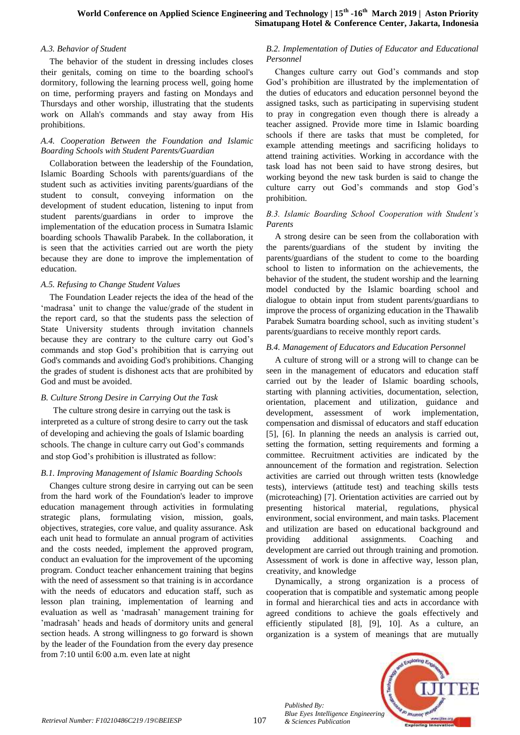#### *A.3. Behavior of Student*

The behavior of the student in dressing includes closes their genitals, coming on time to the boarding school's dormitory, following the learning process well, going home on time, performing prayers and fasting on Mondays and Thursdays and other worship, illustrating that the students work on Allah's commands and stay away from His prohibitions.

## *A.4. Cooperation Between the Foundation and Islamic Boarding Schools with Student Parents/Guardian*

Collaboration between the leadership of the Foundation, Islamic Boarding Schools with parents/guardians of the student such as activities inviting parents/guardians of the student to consult, conveying information on the development of student education, listening to input from student parents/guardians in order to improve the implementation of the education process in Sumatra Islamic boarding schools Thawalib Parabek. In the collaboration, it is seen that the activities carried out are worth the piety because they are done to improve the implementation of education.

## *A.5. Refusing to Change Student Values*

The Foundation Leader rejects the idea of the head of the 'madrasa' unit to change the value/grade of the student in the report card, so that the students pass the selection of State University students through invitation channels because they are contrary to the culture carry out God"s commands and stop God"s prohibition that is carrying out God's commands and avoiding God's prohibitions. Changing the grades of student is dishonest acts that are prohibited by God and must be avoided.

## *B. Culture Strong Desire in Carrying Out the Task*

The culture strong desire in carrying out the task is interpreted as a culture of strong desire to carry out the task of developing and achieving the goals of Islamic boarding schools. The change in culture carry out God"s commands and stop God"s prohibition is illustrated as follow:

#### *B.1. Improving Management of Islamic Boarding Schools*

Changes culture strong desire in carrying out can be seen from the hard work of the Foundation's leader to improve education management through activities in formulating strategic plans, formulating vision, mission, goals, objectives, strategies, core value, and quality assurance. Ask each unit head to formulate an annual program of activities and the costs needed, implement the approved program, conduct an evaluation for the improvement of the upcoming program. Conduct teacher enhancement training that begins with the need of assessment so that training is in accordance with the needs of educators and education staff, such as lesson plan training, implementation of learning and evaluation as well as "madrasah" management training for 'madrasah' heads and heads of dormitory units and general section heads. A strong willingness to go forward is shown by the leader of the Foundation from the every day presence from 7:10 until 6:00 a.m. even late at night

## *B.2. Implementation of Duties of Educator and Educational Personnel*

Changes culture carry out God"s commands and stop God"s prohibition are illustrated by the implementation of the duties of educators and education personnel beyond the assigned tasks, such as participating in supervising student to pray in congregation even though there is already a teacher assigned. Provide more time in Islamic boarding schools if there are tasks that must be completed, for example attending meetings and sacrificing holidays to attend training activities. Working in accordance with the task load has not been said to have strong desires, but working beyond the new task burden is said to change the culture carry out God"s commands and stop God"s prohibition.

# *B.3. Islamic Boarding School Cooperation with Student's Parents*

A strong desire can be seen from the collaboration with the parents/guardians of the student by inviting the parents/guardians of the student to come to the boarding school to listen to information on the achievements, the behavior of the student, the student worship and the learning model conducted by the Islamic boarding school and dialogue to obtain input from student parents/guardians to improve the process of organizing education in the Thawalib Parabek Sumatra boarding school, such as inviting student"s parents/guardians to receive monthly report cards.

# *B.4. Management of Educators and Education Personnel*

A culture of strong will or a strong will to change can be seen in the management of educators and education staff carried out by the leader of Islamic boarding schools, starting with planning activities, documentation, selection, orientation, placement and utilization, guidance and development, assessment of work implementation, compensation and dismissal of educators and staff education [5], [6]. In planning the needs an analysis is carried out, setting the formation, setting requirements and forming a committee. Recruitment activities are indicated by the announcement of the formation and registration. Selection activities are carried out through written tests (knowledge tests), interviews (attitude test) and teaching skills tests (microteaching) [7]. Orientation activities are carried out by presenting historical material, regulations, physical environment, social environment, and main tasks. Placement and utilization are based on educational background and providing additional assignments. Coaching and development are carried out through training and promotion. Assessment of work is done in affective way, lesson plan, creativity, and knowledge

Dynamically, a strong organization is a process of cooperation that is compatible and systematic among people in formal and hierarchical ties and acts in accordance with agreed conditions to achieve the goals effectively and efficiently stipulated [8], [9], 10]. As a culture, an organization is a system of meanings that are mutually



*Published By:*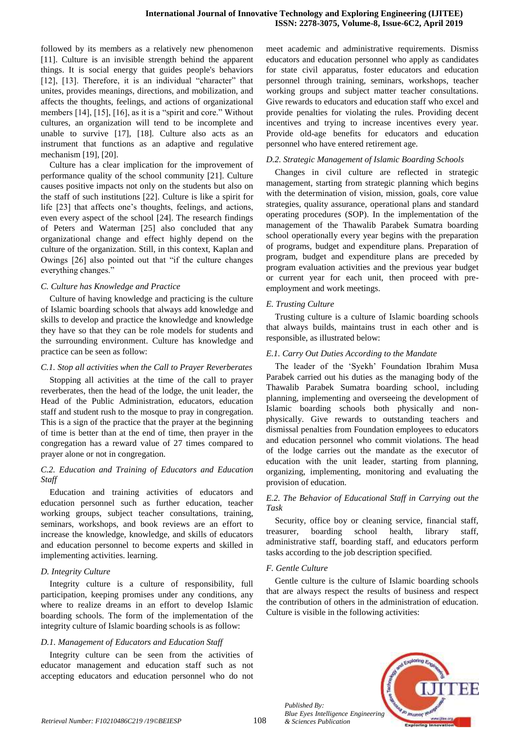followed by its members as a relatively new phenomenon [11]. Culture is an invisible strength behind the apparent things. It is social energy that guides people's behaviors [12], [13]. Therefore, it is an individual "character" that unites, provides meanings, directions, and mobilization, and affects the thoughts, feelings, and actions of organizational members [14], [15], [16], as it is a "spirit and core." Without cultures, an organization will tend to be incomplete and unable to survive [17], [18]. Culture also acts as an instrument that functions as an adaptive and regulative mechanism [19], [20].

Culture has a clear implication for the improvement of performance quality of the school community [21]. Culture causes positive impacts not only on the students but also on the staff of such institutions [22]. Culture is like a spirit for life [23] that affects one's thoughts, feelings, and actions, even every aspect of the school [24]. The research findings of Peters and Waterman [25] also concluded that any organizational change and effect highly depend on the culture of the organization. Still, in this context, Kaplan and Owings [26] also pointed out that "if the culture changes everything changes."

#### *C. Culture has Knowledge and Practice*

Culture of having knowledge and practicing is the culture of Islamic boarding schools that always add knowledge and skills to develop and practice the knowledge and knowledge they have so that they can be role models for students and the surrounding environment. Culture has knowledge and practice can be seen as follow:

#### *C.1. Stop all activities when the Call to Prayer Reverberates*

Stopping all activities at the time of the call to prayer reverberates, then the head of the lodge, the unit leader, the Head of the Public Administration, educators, education staff and student rush to the mosque to pray in congregation. This is a sign of the practice that the prayer at the beginning of time is better than at the end of time, then prayer in the congregation has a reward value of 27 times compared to prayer alone or not in congregation.

#### *C.2. Education and Training of Educators and Education Staff*

Education and training activities of educators and education personnel such as further education, teacher working groups, subject teacher consultations, training, seminars, workshops, and book reviews are an effort to increase the knowledge, knowledge, and skills of educators and education personnel to become experts and skilled in implementing activities. learning.

#### *D. Integrity Culture*

Integrity culture is a culture of responsibility, full participation, keeping promises under any conditions, any where to realize dreams in an effort to develop Islamic boarding schools. The form of the implementation of the integrity culture of Islamic boarding schools is as follow:

#### *D.1. Management of Educators and Education Staff*

Integrity culture can be seen from the activities of educator management and education staff such as not accepting educators and education personnel who do not meet academic and administrative requirements. Dismiss educators and education personnel who apply as candidates for state civil apparatus, foster educators and education personnel through training, seminars, workshops, teacher working groups and subject matter teacher consultations. Give rewards to educators and education staff who excel and provide penalties for violating the rules. Providing decent incentives and trying to increase incentives every year. Provide old-age benefits for educators and education personnel who have entered retirement age.

#### *D.2. Strategic Management of Islamic Boarding Schools*

Changes in civil culture are reflected in strategic management, starting from strategic planning which begins with the determination of vision, mission, goals, core value strategies, quality assurance, operational plans and standard operating procedures (SOP). In the implementation of the management of the Thawalib Parabek Sumatra boarding school operationally every year begins with the preparation of programs, budget and expenditure plans. Preparation of program, budget and expenditure plans are preceded by program evaluation activities and the previous year budget or current year for each unit, then proceed with preemployment and work meetings.

#### *E. Trusting Culture*

Trusting culture is a culture of Islamic boarding schools that always builds, maintains trust in each other and is responsible, as illustrated below:

#### *E.1. Carry Out Duties According to the Mandate*

The leader of the "Syekh" Foundation Ibrahim Musa Parabek carried out his duties as the managing body of the Thawalib Parabek Sumatra boarding school, including planning, implementing and overseeing the development of Islamic boarding schools both physically and nonphysically. Give rewards to outstanding teachers and dismissal penalties from Foundation employees to educators and education personnel who commit violations. The head of the lodge carries out the mandate as the executor of education with the unit leader, starting from planning, organizing, implementing, monitoring and evaluating the provision of education.

## *E.2. The Behavior of Educational Staff in Carrying out the Task*

Security, office boy or cleaning service, financial staff, treasurer, boarding school health, library staff, administrative staff, boarding staff, and educators perform tasks according to the job description specified.

#### *F. Gentle Culture*

Gentle culture is the culture of Islamic boarding schools that are always respect the results of business and respect the contribution of others in the administration of education. Culture is visible in the following activities:

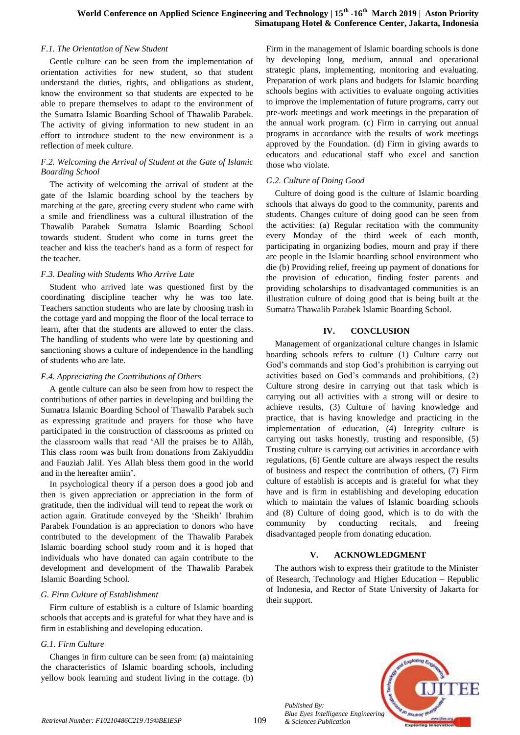#### *F.1. The Orientation of New Student*

Gentle culture can be seen from the implementation of orientation activities for new student, so that student understand the duties, rights, and obligations as student, know the environment so that students are expected to be able to prepare themselves to adapt to the environment of the Sumatra Islamic Boarding School of Thawalib Parabek. The activity of giving information to new student in an effort to introduce student to the new environment is a reflection of meek culture.

#### *F.2. Welcoming the Arrival of Student at the Gate of Islamic Boarding School*

The activity of welcoming the arrival of student at the gate of the Islamic boarding school by the teachers by marching at the gate, greeting every student who came with a smile and friendliness was a cultural illustration of the Thawalib Parabek Sumatra Islamic Boarding School towards student. Student who come in turns greet the teacher and kiss the teacher's hand as a form of respect for the teacher.

#### *F.3. Dealing with Students Who Arrive Late*

Student who arrived late was questioned first by the coordinating discipline teacher why he was too late. Teachers sanction students who are late by choosing trash in the cottage yard and mopping the floor of the local terrace to learn, after that the students are allowed to enter the class. The handling of students who were late by questioning and sanctioning shows a culture of independence in the handling of students who are late.

## *F.4. Appreciating the Contributions of Others*

A gentle culture can also be seen from how to respect the contributions of other parties in developing and building the Sumatra Islamic Boarding School of Thawalib Parabek such as expressing gratitude and prayers for those who have participated in the construction of classrooms as printed on the classroom walls that read "All the praises be to Allâh, This class room was built from donations from Zakiyuddin and Fauziah Jalil. Yes Allah bless them good in the world and in the hereafter amiin".

In psychological theory if a person does a good job and then is given appreciation or appreciation in the form of gratitude, then the individual will tend to repeat the work or action again. Gratitude conveyed by the "Sheikh" Ibrahim Parabek Foundation is an appreciation to donors who have contributed to the development of the Thawalib Parabek Islamic boarding school study room and it is hoped that individuals who have donated can again contribute to the development and development of the Thawalib Parabek Islamic Boarding School.

## *G. Firm Culture of Establishment*

Firm culture of establish is a culture of Islamic boarding schools that accepts and is grateful for what they have and is firm in establishing and developing education.

## *G.1. Firm Culture*

Changes in firm culture can be seen from: (a) maintaining the characteristics of Islamic boarding schools, including yellow book learning and student living in the cottage. (b) Firm in the management of Islamic boarding schools is done by developing long, medium, annual and operational strategic plans, implementing, monitoring and evaluating. Preparation of work plans and budgets for Islamic boarding schools begins with activities to evaluate ongoing activities to improve the implementation of future programs, carry out pre-work meetings and work meetings in the preparation of the annual work program. (c) Firm in carrying out annual programs in accordance with the results of work meetings approved by the Foundation. (d) Firm in giving awards to educators and educational staff who excel and sanction those who violate.

## *G.2. Culture of Doing Good*

Culture of doing good is the culture of Islamic boarding schools that always do good to the community, parents and students. Changes culture of doing good can be seen from the activities: (a) Regular recitation with the community every Monday of the third week of each month, participating in organizing bodies, mourn and pray if there are people in the Islamic boarding school environment who die (b) Providing relief, freeing up payment of donations for the provision of education, finding foster parents and providing scholarships to disadvantaged communities is an illustration culture of doing good that is being built at the Sumatra Thawalib Parabek Islamic Boarding School.

## **IV. CONCLUSION**

Management of organizational culture changes in Islamic boarding schools refers to culture (1) Culture carry out God"s commands and stop God"s prohibition is carrying out activities based on God"s commands and prohibitions, (2) Culture strong desire in carrying out that task which is carrying out all activities with a strong will or desire to achieve results, (3) Culture of having knowledge and practice, that is having knowledge and practicing in the implementation of education, (4) Integrity culture is carrying out tasks honestly, trusting and responsible, (5) Trusting culture is carrying out activities in accordance with regulations, (6) Gentle culture are always respect the results of business and respect the contribution of others, (7) Firm culture of establish is accepts and is grateful for what they have and is firm in establishing and developing education which to maintain the values of Islamic boarding schools and (8) Culture of doing good, which is to do with the community by conducting recitals, and freeing disadvantaged people from donating education.

## **V. ACKNOWLEDGMENT**

The authors wish to express their gratitude to the Minister of Research, Technology and Higher Education – Republic of Indonesia, and Rector of State University of Jakarta for their support.



*Published By: Blue Eyes Intelligence Engineering*